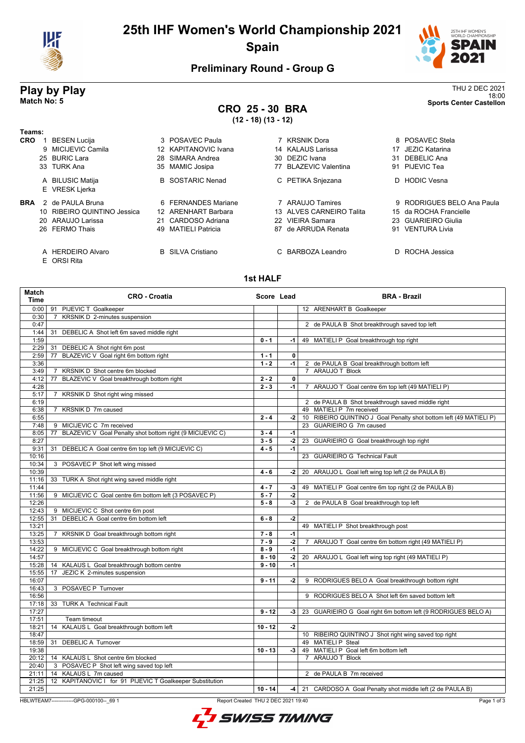

# **25th IHF Women's World Championship 2021 Spain**



18:00 **Match No: 5 Sports Center Castellon**

### **Preliminary Round - Group G**

# **Play by Play**<br>Match No: 5<br>Sports Center Castellon

# **CRO 25 - 30 BRA**

**(12 - 18) (13 - 12)**

| Teams:     |                                  |     |                          |    |                          |    |                            |
|------------|----------------------------------|-----|--------------------------|----|--------------------------|----|----------------------------|
| <b>CRO</b> | <b>BESEN Lucija</b>              |     | 3 POSAVEC Paula          |    | 7 KRSNIK Dora            |    | 8 POSAVEC Stela            |
|            | 9 MICIJEVIC Camila               |     | 12 KAPITANOVIC Ivana     |    | 14 KALAUS Larissa        | 17 | JEZIC Katarina             |
|            | 25 BURIC Lara                    |     | 28 SIMARA Andrea         |    | 30 DEZIC Ivana           |    | 31 DEBELIC Ana             |
|            | 33 TURK Ana                      |     | 35 MAMIC Josipa          |    | 77 BLAZEVIC Valentina    |    | 91 PIJEVIC Tea             |
|            | A BILUSIC Matija                 |     | <b>B</b> SOSTARIC Nenad  |    | C PETIKA Snjezana        |    | D HODIC Vesna              |
|            | E VRESK Ljerka                   |     |                          |    |                          |    |                            |
| <b>BRA</b> | 2 de PAULA Bruna                 |     | 6 FERNANDES Mariane      |    | 7 ARAUJO Tamires         |    | 9 RODRIGUES BELO Ana Paula |
|            | 10 RIBEIRO QUINTINO Jessica      |     | 12 ARENHART Barbara      |    | 13 ALVES CARNEIRO Talita |    | 15 da ROCHA Francielle     |
|            | 20 ARAUJO Larissa                |     | 21 CARDOSO Adriana       |    | 22 VIEIRA Samara         |    | 23 GUARIEIRO Giulia        |
|            | 26 FERMO Thais                   | 49. | <b>MATIELI Patricia</b>  | 87 | de ARRUDA Renata         | 91 | <b>VENTURA Livia</b>       |
|            | A HERDEIRO Alvaro<br>E ORSI Rita |     | <b>B</b> SILVA Cristiano |    | C BARBOZA Leandro        |    | D ROCHA Jessica            |

#### **1st HALF**

| <b>Match</b><br>Time | <b>CRO - Croatia</b>                                            | Score Lead |              | <b>BRA - Brazil</b>                                                |
|----------------------|-----------------------------------------------------------------|------------|--------------|--------------------------------------------------------------------|
| 0:00                 | 91 PIJEVIC T Goalkeeper                                         |            |              | 12 ARENHART B Goalkeeper                                           |
| 0:30                 | KRSNIK D 2-minutes suspension<br>$\overline{7}$                 |            |              |                                                                    |
| 0:47                 |                                                                 |            |              | 2 de PAULA B Shot breakthrough saved top left                      |
| 1:44                 | DEBELIC A Shot left 6m saved middle right<br>31                 |            |              |                                                                    |
| 1:59                 |                                                                 | $0 - 1$    | -1 l         | 49 MATIELI P Goal breakthrough top right                           |
| 2:29                 | DEBELIC A Shot right 6m post<br>31                              |            |              |                                                                    |
| 2:59                 | BLAZEVIC V Goal right 6m bottom right<br>77                     | $1 - 1$    | $\mathbf{0}$ |                                                                    |
| 3:36                 |                                                                 | $1 - 2$    | $-1$         | 2 de PAULA B Goal breakthrough bottom left                         |
| 3:49                 | KRSNIK D Shot centre 6m blocked<br>7                            |            |              | 7 ARAUJO T Block                                                   |
| 4:12                 | BLAZEVIC V Goal breakthrough bottom right<br>77                 | $2 - 2$    | $\mathbf 0$  |                                                                    |
| 4:28                 |                                                                 | $2 - 3$    | $-1$         | 7 ARAUJO T Goal centre 6m top left (49 MATIELI P)                  |
| 5:17                 | KRSNIK D Shot right wing missed<br>$\overline{7}$               |            |              |                                                                    |
| 6:19                 |                                                                 |            |              | 2 de PAULA B Shot breakthrough saved middle right                  |
| 6:38                 | KRSNIK D 7m caused<br>7                                         |            |              | 49 MATIELI P 7m received                                           |
| 6:55                 |                                                                 | $2 - 4$    | $-2$         | 10 RIBEIRO QUINTINO J Goal Penalty shot bottom left (49 MATIELI P) |
| 7:48                 | MICIJEVIC C 7m received<br>9                                    |            |              | 23 GUARIEIRO G 7m caused                                           |
| 8:05                 | BLAZEVIC V Goal Penalty shot bottom right (9 MICIJEVIC C)<br>77 | $3 - 4$    | $-1$         |                                                                    |
| 8:27                 |                                                                 | $3 - 5$    | $-2$         | 23 GUARIEIRO G Goal breakthrough top right                         |
| 9:31                 | 31<br>DEBELIC A Goal centre 6m top left (9 MICIJEVIC C)         | $4 - 5$    | $-1$         |                                                                    |
| 10:16                |                                                                 |            |              | 23 GUARIEIRO G Technical Fault                                     |
| 10:34                | 3 POSAVEC P Shot left wing missed                               |            |              |                                                                    |
| 10:39                |                                                                 | $4 - 6$    | $-2$         | 20 ARAUJO L Goal left wing top left (2 de PAULA B)                 |
| 11:16                | 33 TURK A Shot right wing saved middle right                    |            |              |                                                                    |
| 11:44                |                                                                 | $4 - 7$    | $-3$         | 49 MATIELI P Goal centre 6m top right (2 de PAULA B)               |
| 11:56                | 9 MICIJEVIC C Goal centre 6m bottom left (3 POSAVEC P)          | $5 - 7$    | $-2$         |                                                                    |
| 12:26                |                                                                 | $5 - 8$    | $-3$         | 2 de PAULA B Goal breakthrough top left                            |
| 12:43                | 9 MICIJEVIC C Shot centre 6m post                               |            |              |                                                                    |
| 12:55                | DEBELIC A Goal centre 6m bottom left<br>31                      | $6 - 8$    | $-2$         |                                                                    |
| 13:21                |                                                                 |            |              | 49 MATIELI P Shot breakthrough post                                |
| 13:25                | KRSNIK D Goal breakthrough bottom right<br>$7^{\circ}$          | $7 - 8$    | $-1$         |                                                                    |
| 13:53                |                                                                 | $7 - 9$    | $-2$         | 7 ARAUJO T Goal centre 6m bottom right (49 MATIELI P)              |
| 14:22                | 9 MICIJEVIC C Goal breakthrough bottom right                    | $8 - 9$    | $-1$         |                                                                    |
| 14:57                |                                                                 | $8 - 10$   | -2           | 20 ARAUJO L Goal left wing top right (49 MATIELI P)                |
| 15:28                | 14 KALAUS L Goal breakthrough bottom centre                     | $9 - 10$   | $-1$         |                                                                    |
| 15:55                | 17 JEZIC K 2-minutes suspension                                 |            |              |                                                                    |
| 16:07                |                                                                 | $9 - 11$   | $-2$         | 9 RODRIGUES BELO A Goal breakthrough bottom right                  |
| 16:43                | 3 POSAVEC P Turnover                                            |            |              |                                                                    |
| 16:56                |                                                                 |            |              | 9 RODRIGUES BELO A Shot left 6m saved bottom left                  |
| 17:18                | 33 TURK A Technical Fault                                       |            |              |                                                                    |
| 17:27                |                                                                 | $9 - 12$   | $-3$         | 23 GUARIEIRO G Goal right 6m bottom left (9 RODRIGUES BELO A)      |
|                      |                                                                 |            |              |                                                                    |
| 17:51                | Team timeout                                                    |            |              |                                                                    |
| 18:21                | 14 KALAUS L Goal breakthrough bottom left                       | $10 - 12$  | $-2$         |                                                                    |
| 18:47                |                                                                 |            |              | 10 RIBEIRO QUINTINO J Shot right wing saved top right              |
| 18:59                | 31 DEBELIC A Turnover                                           |            |              | 49 MATIELI P Steal                                                 |
| 19:38                |                                                                 | $10 - 13$  | -3           | 49 MATIELI P Goal left 6m bottom left                              |
|                      | 20:12   14 KALAUS L Shot centre 6m blocked                      |            |              | 7 ARAUJO T Block                                                   |
| 20:40                | 3 POSAVEC P Shot left wing saved top left                       |            |              |                                                                    |
| 21:11                | 14 KALAUS L 7m caused                                           |            |              | 2 de PAULA B 7m received                                           |
| 21:25                | 12 KAPITANOVIC I for 91 PIJEVIC T Goalkeeper Substitution       |            |              |                                                                    |
| 21:25                |                                                                 | $10 - 14$  |              | -4   21 CARDOSO A Goal Penalty shot middle left (2 de PAULA B)     |

HBLWTEAM7-------------GPG-000100--\_69 1 Report Created THU 2 DEC 2021 19:40

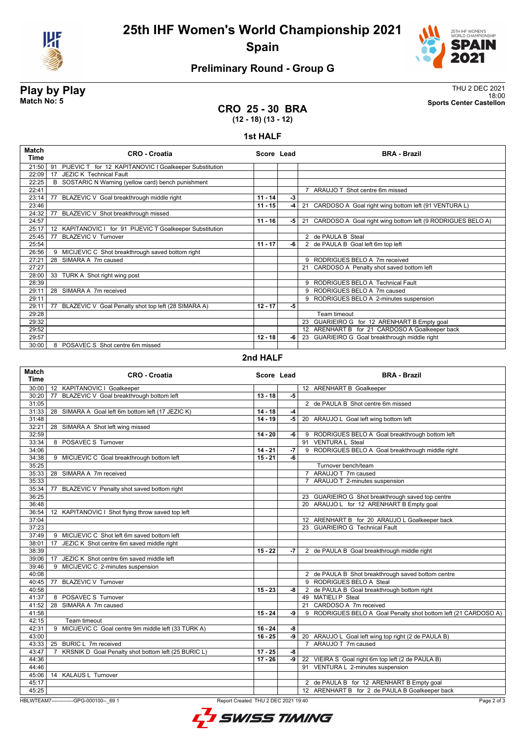

# **25th IHF Women's World Championship 2021 Spain**



# **Preliminary Round - Group G**

**Play by Play**<br>Match No: 5<br>Sports Center Castellon 18:00 **Match No: 5 Sports Center Castellon**

#### **CRO 25 - 30 BRA (12 - 18) (13 - 12)**

#### **1st HALF**

| Match<br>Time | <b>CRO - Croatia</b>                                         | Score Lead |    | <b>BRA - Brazil</b>                                           |
|---------------|--------------------------------------------------------------|------------|----|---------------------------------------------------------------|
| 21:50         | PIJEVIC T for 12 KAPITANOVIC I Goalkeeper Substitution<br>91 |            |    |                                                               |
| 22:09         | <b>JEZIC K Technical Fault</b><br>17                         |            |    |                                                               |
| 22:25         | B SOSTARIC N Warning (yellow card) bench punishment          |            |    |                                                               |
| 22:41         |                                                              |            |    | 7 ARAUJO T Shot centre 6m missed                              |
| 23:14         | 77<br>BLAZEVIC V Goal breakthrough middle right              | $11 - 14$  | -3 |                                                               |
| 23:46         |                                                              | $11 - 15$  | -4 | 21 CARDOSO A Goal right wing bottom left (91 VENTURA L)       |
| 24:32         | BLAZEVIC V Shot breakthrough missed<br>77                    |            |    |                                                               |
| 24:57         |                                                              | $11 - 16$  | -5 | 21 CARDOSO A Goal right wing bottom left (9 RODRIGUES BELO A) |
| 25:17         | KAPITANOVIC I for 91 PIJEVIC T Goalkeeper Substitution<br>12 |            |    |                                                               |
| 25:45         | <b>BLAZEVIC V Turnover</b><br>77                             |            |    | 2 de PAULA B Steal                                            |
| 25:54         |                                                              | $11 - 17$  | -6 | 2 de PAULA B Goal left 6m top left                            |
| 26:56         | 9 MICIJEVIC C Shot breakthrough saved bottom right           |            |    |                                                               |
| 27:21         | 28 SIMARA A 7m caused                                        |            |    | RODRIGUES BELO A 7m received<br>9                             |
| 27:27         |                                                              |            |    | 21 CARDOSO A Penalty shot saved bottom left                   |
| 28:00         | 33 TURK A Shot right wing post                               |            |    |                                                               |
| 28:39         |                                                              |            |    | 9 RODRIGUES BELO A Technical Fault                            |
| 29:11         | 28 SIMARA A 7m received                                      |            |    | 9 RODRIGUES BELO A 7m caused                                  |
| 29:11         |                                                              |            |    | 9 RODRIGUES BELO A 2-minutes suspension                       |
| 29:11         | 77<br>BLAZEVIC V Goal Penalty shot top left (28 SIMARA A)    | $12 - 17$  | -5 |                                                               |
| 29:28         |                                                              |            |    | Team timeout                                                  |
| 29:32         |                                                              |            |    | 23 GUARIEIRO G for 12 ARENHART B Empty goal                   |
| 29:52         |                                                              |            |    | 12 ARENHART B for 21 CARDOSO A Goalkeeper back                |
| 29:57         |                                                              | $12 - 18$  | -6 | 23 GUARIEIRO G Goal breakthrough middle right                 |
| 30:00         | 8 POSAVEC S Shot centre 6m missed                            |            |    |                                                               |

#### **2nd HALF**

| Match<br><b>Time</b> | <b>CRO - Croatia</b>                                                  | Score Lead |      | <b>BRA - Brazil</b>                                             |
|----------------------|-----------------------------------------------------------------------|------------|------|-----------------------------------------------------------------|
| 30:00                | 12 KAPITANOVIC I Goalkeeper                                           |            |      | 12 ARENHART B Goalkeeper                                        |
| 30:20                | BLAZEVIC V Goal breakthrough bottom left<br>77                        | $13 - 18$  | $-5$ |                                                                 |
| 31:05                |                                                                       |            |      | 2 de PAULA B Shot centre 6m missed                              |
| 31:33                | 28 SIMARA A Goal left 6m bottom left (17 JEZIC K)                     | $14 - 18$  | -4   |                                                                 |
| 31:48                |                                                                       | $14 - 19$  | $-5$ | 20 ARAUJO L Goal left wing bottom left                          |
| 32:21                | 28 SIMARA A Shot left wing missed                                     |            |      |                                                                 |
| 32:59                |                                                                       | $14 - 20$  | -6   | 9 RODRIGUES BELO A Goal breakthrough bottom left                |
| 33:34                | 8 POSAVEC S Turnover                                                  |            |      | 91 VENTURA L Steal                                              |
| 34:06                |                                                                       | $14 - 21$  | $-7$ | 9 RODRIGUES BELO A Goal breakthrough middle right               |
| 34:38                | 9 MICIJEVIC C Goal breakthrough bottom left                           | $15 - 21$  | -6   |                                                                 |
| 35:25                |                                                                       |            |      | Turnover bench/team                                             |
| 35:33                | 28 SIMARA A 7m received                                               |            |      | 7 ARAUJO T 7m caused                                            |
| 35:33                |                                                                       |            |      | ARAUJO T 2-minutes suspension<br>$7^{\circ}$                    |
| 35:34                | BLAZEVIC V Penalty shot saved bottom right<br>77                      |            |      |                                                                 |
| 36:25                |                                                                       |            |      | 23 GUARIEIRO G Shot breakthrough saved top centre               |
| 36:48                |                                                                       |            |      | 20 ARAUJO L for 12 ARENHART B Empty goal                        |
| 36:54                | 12 KAPITANOVIC I Shot flying throw saved top left                     |            |      |                                                                 |
| 37:04                |                                                                       |            |      | 12 ARENHART B for 20 ARAUJO L Goalkeeper back                   |
| 37:23                |                                                                       |            |      | 23 GUARIEIRO G Technical Fault                                  |
| 37:49                | 9 MICIJEVIC C Shot left 6m saved bottom left                          |            |      |                                                                 |
| 38:01                | JEZIC K Shot centre 6m saved middle right<br>17                       |            |      |                                                                 |
| 38:39                |                                                                       | $15 - 22$  | -7   | 2 de PAULA B Goal breakthrough middle right                     |
| 39:06                | JEZIC K Shot centre 6m saved middle left<br>17                        |            |      |                                                                 |
| 39:46                | 9 MICIJEVIC C 2-minutes suspension                                    |            |      |                                                                 |
| 40:08                |                                                                       |            |      | 2 de PAULA B Shot breakthrough saved bottom centre              |
| 40:45                | <b>BLAZEVIC V Turnover</b><br>77                                      |            |      | 9 RODRIGUES BELO A Steal                                        |
| 40:58                |                                                                       | $15 - 23$  | -8   | 2 de PAULA B Goal breakthrough bottom right                     |
| 41:37                | 8 POSAVEC S Turnover                                                  |            |      | 49 MATIELI P Steal                                              |
| 41:52                | 28 SIMARA A 7m caused                                                 |            |      | 21 CARDOSO A 7m received                                        |
| 41:58                |                                                                       | $15 - 24$  | -9   | 9 RODRIGUES BELO A Goal Penalty shot bottom left (21 CARDOSO A) |
| 42:15                | Team timeout                                                          |            |      |                                                                 |
| 42:31                | MICIJEVIC C Goal centre 9m middle left (33 TURK A)<br>9               | $16 - 24$  | -8   |                                                                 |
| 43:00                |                                                                       | $16 - 25$  | -9   | 20 ARAUJO L Goal left wing top right (2 de PAULA B)             |
| 43:33                | BURIC L 7m received<br>25                                             |            |      | 7 ARAUJO T 7m caused                                            |
| 43:47                | KRSNIK D Goal Penalty shot bottom left (25 BURIC L)<br>$\overline{7}$ | $17 - 25$  | -8   |                                                                 |
| 44:36                |                                                                       | $17 - 26$  | -9   | 22 VIEIRA S Goal right 6m top left (2 de PAULA B)               |
| 44:46                |                                                                       |            |      | 91 VENTURA L 2-minutes suspension                               |
| 45:06                | 14 KALAUS L Turnover                                                  |            |      |                                                                 |
| 45:17                |                                                                       |            |      | 2 de PAULA B for 12 ARENHART B Empty goal                       |
| 45:25                |                                                                       |            |      | 12 ARENHART B for 2 de PAULA B Goalkeeper back                  |

HBLWTEAM7-------------GPG-000100--\_69 1 Report Created THU 2 DEC 2021 19:40